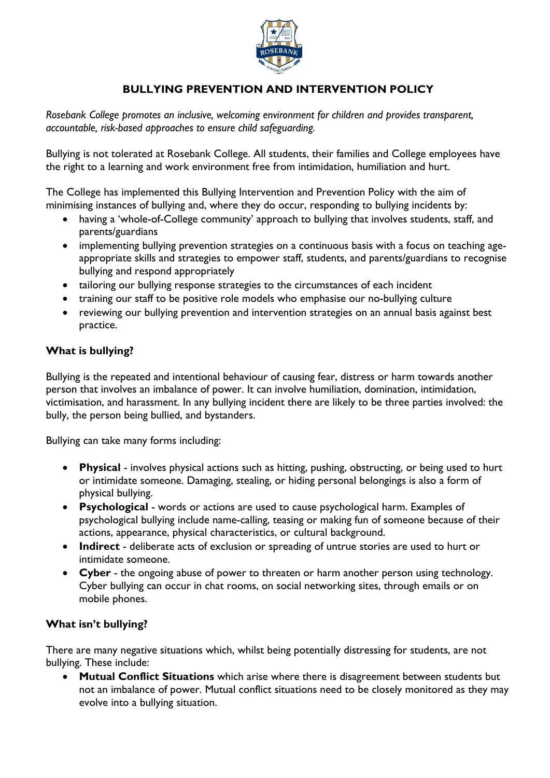

# **BULLYING PREVENTION AND INTERVENTION POLICY**

*Rosebank College promotes an inclusive, welcoming environment for children and provides transparent, accountable, risk-based approaches to ensure child safeguarding.*

Bullying is not tolerated at Rosebank College. All students, their families and College employees have the right to a learning and work environment free from intimidation, humiliation and hurt.

The College has implemented this Bullying Intervention and Prevention Policy with the aim of minimising instances of bullying and, where they do occur, responding to bullying incidents by:

- having a 'whole-of-College community' approach to bullying that involves students, staff, and parents/guardians
- implementing bullying prevention strategies on a continuous basis with a focus on teaching ageappropriate skills and strategies to empower staff, students, and parents/guardians to recognise bullying and respond appropriately
- tailoring our bullying response strategies to the circumstances of each incident
- training our staff to be positive role models who emphasise our no-bullying culture
- reviewing our bullying prevention and intervention strategies on an annual basis against best practice.

## **What is bullying?**

Bullying is the repeated and intentional behaviour of causing fear, distress or harm towards another person that involves an imbalance of power. It can involve humiliation, domination, intimidation, victimisation, and harassment. In any bullying incident there are likely to be three parties involved: the bully, the person being bullied, and bystanders.

Bullying can take many forms including:

- **Physical** involves physical actions such as hitting, pushing, obstructing, or being used to hurt or intimidate someone. Damaging, stealing, or hiding personal belongings is also a form of physical bullying.
- **Psychological** words or actions are used to cause psychological harm. Examples of psychological bullying include name-calling, teasing or making fun of someone because of their actions, appearance, physical characteristics, or cultural background.
- **Indirect**  deliberate acts of exclusion or spreading of untrue stories are used to hurt or intimidate someone.
- **Cyber** the ongoing abuse of power to threaten or harm another person using technology. Cyber bullying can occur in chat rooms, on social networking sites, through emails or on mobile phones.

### **What isn't bullying?**

There are many negative situations which, whilst being potentially distressing for students, are not bullying. These include:

• **Mutual Conflict Situations** which arise where there is disagreement between students but not an imbalance of power. Mutual conflict situations need to be closely monitored as they may evolve into a bullying situation.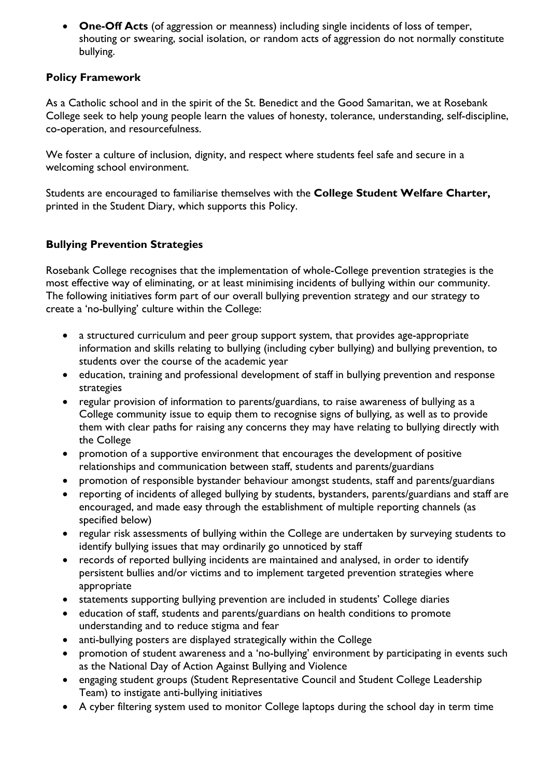• **One-Off Acts** (of aggression or meanness) including single incidents of loss of temper, shouting or swearing, social isolation, or random acts of aggression do not normally constitute bullying.

## **Policy Framework**

As a Catholic school and in the spirit of the St. Benedict and the Good Samaritan, we at Rosebank College seek to help young people learn the values of honesty, tolerance, understanding, self-discipline, co-operation, and resourcefulness.

We foster a culture of inclusion, dignity, and respect where students feel safe and secure in a welcoming school environment.

Students are encouraged to familiarise themselves with the **College Student Welfare Charter,** printed in the Student Diary, which supports this Policy.

# **Bullying Prevention Strategies**

Rosebank College recognises that the implementation of whole-College prevention strategies is the most effective way of eliminating, or at least minimising incidents of bullying within our community. The following initiatives form part of our overall bullying prevention strategy and our strategy to create a 'no-bullying' culture within the College:

- a structured curriculum and peer group support system, that provides age-appropriate information and skills relating to bullying (including cyber bullying) and bullying prevention, to students over the course of the academic year
- education, training and professional development of staff in bullying prevention and response strategies
- regular provision of information to parents/guardians, to raise awareness of bullying as a College community issue to equip them to recognise signs of bullying, as well as to provide them with clear paths for raising any concerns they may have relating to bullying directly with the College
- promotion of a supportive environment that encourages the development of positive relationships and communication between staff, students and parents/guardians
- promotion of responsible bystander behaviour amongst students, staff and parents/guardians
- reporting of incidents of alleged bullying by students, bystanders, parents/guardians and staff are encouraged, and made easy through the establishment of multiple reporting channels (as specified below)
- regular risk assessments of bullying within the College are undertaken by surveying students to identify bullying issues that may ordinarily go unnoticed by staff
- records of reported bullying incidents are maintained and analysed, in order to identify persistent bullies and/or victims and to implement targeted prevention strategies where appropriate
- statements supporting bullying prevention are included in students' College diaries
- education of staff, students and parents/guardians on health conditions to promote understanding and to reduce stigma and fear
- anti-bullying posters are displayed strategically within the College
- promotion of student awareness and a 'no-bullying' environment by participating in events such as the National Day of Action Against Bullying and Violence
- engaging student groups (Student Representative Council and Student College Leadership Team) to instigate anti-bullying initiatives
- A cyber filtering system used to monitor College laptops during the school day in term time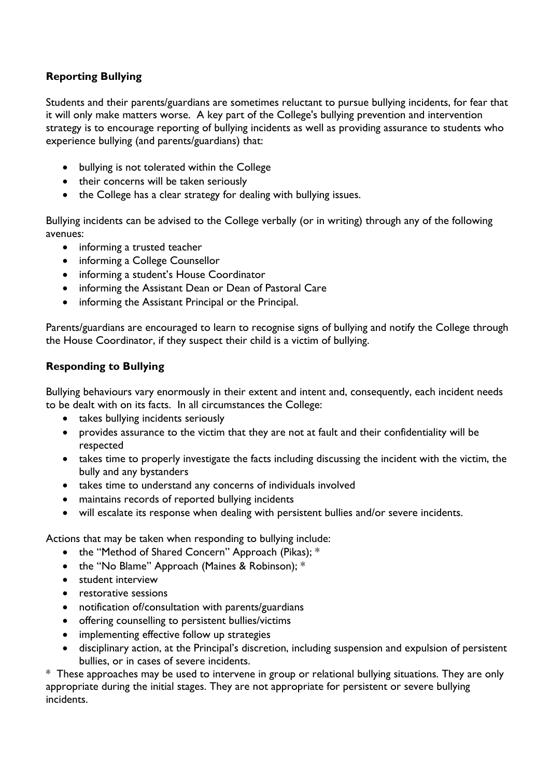## **Reporting Bullying**

Students and their parents/guardians are sometimes reluctant to pursue bullying incidents, for fear that it will only make matters worse. A key part of the College's bullying prevention and intervention strategy is to encourage reporting of bullying incidents as well as providing assurance to students who experience bullying (and parents/guardians) that:

- bullying is not tolerated within the College
- their concerns will be taken seriously
- the College has a clear strategy for dealing with bullying issues.

Bullying incidents can be advised to the College verbally (or in writing) through any of the following avenues:

- informing a trusted teacher
- informing a College Counsellor
- informing a student's House Coordinator
- informing the Assistant Dean or Dean of Pastoral Care
- informing the Assistant Principal or the Principal.

Parents/guardians are encouraged to learn to recognise signs of bullying and notify the College through the House Coordinator, if they suspect their child is a victim of bullying.

### **Responding to Bullying**

Bullying behaviours vary enormously in their extent and intent and, consequently, each incident needs to be dealt with on its facts. In all circumstances the College:

- takes bullying incidents seriously
- provides assurance to the victim that they are not at fault and their confidentiality will be respected
- takes time to properly investigate the facts including discussing the incident with the victim, the bully and any bystanders
- takes time to understand any concerns of individuals involved
- maintains records of reported bullying incidents
- will escalate its response when dealing with persistent bullies and/or severe incidents.

Actions that may be taken when responding to bullying include:

- the "Method of Shared Concern" Approach (Pikas); \*
- the "No Blame" Approach (Maines & Robinson); \*
- student interview
- restorative sessions
- notification of/consultation with parents/guardians
- offering counselling to persistent bullies/victims
- implementing effective follow up strategies
- disciplinary action, at the Principal's discretion, including suspension and expulsion of persistent bullies, or in cases of severe incidents.

\* These approaches may be used to intervene in group or relational bullying situations. They are only appropriate during the initial stages. They are not appropriate for persistent or severe bullying incidents.